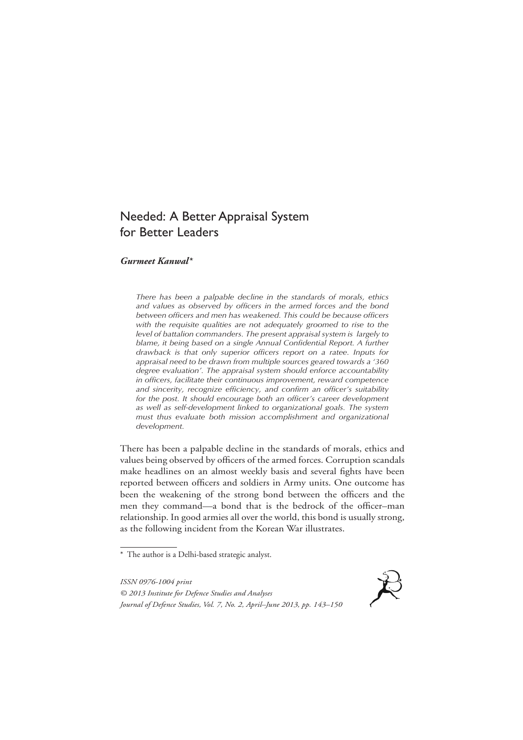# Needed: A Better Appraisal System for Better Leaders

## *Gurmeet Kanwal\**

*There has been a palpable decline in the standards of morals, ethics and values as observed by officers in the armed forces and the bond between officers and men has weakened. This could be because officers with the requisite qualities are not adequately groomed to rise to the level of battalion commanders. The present appraisal system is largely to*  blame, it being based on a single Annual Confidential Report. A further *drawback is that only superior officers report on a ratee. Inputs for appraisal need to be drawn from multiple sources geared towards a '360 degree evaluation'. The appraisal system should enforce accountability in officers, facilitate their continuous improvement, reward competence and sincerity, recognize efficiency, and confirm an officer's suitability*  for the post. It should encourage both an officer's career development *as well as self-development linked to organizational goals. The system must thus evaluate both mission accomplishment and organizational development.*

There has been a palpable decline in the standards of morals, ethics and values being observed by officers of the armed forces. Corruption scandals make headlines on an almost weekly basis and several fights have been reported between officers and soldiers in Army units. One outcome has been the weakening of the strong bond between the officers and the men they command—a bond that is the bedrock of the officer–man relationship. In good armies all over the world, this bond is usually strong, as the following incident from the Korean War illustrates.

<sup>\*</sup> The author is a Delhi-based strategic analyst.



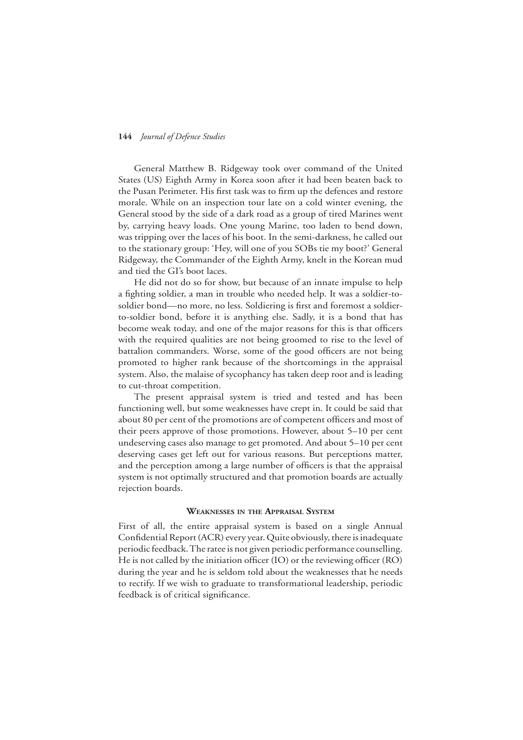General Matthew B. Ridgeway took over command of the United States (US) Eighth Army in Korea soon after it had been beaten back to the Pusan Perimeter. His first task was to firm up the defences and restore morale. While on an inspection tour late on a cold winter evening, the General stood by the side of a dark road as a group of tired Marines went by, carrying heavy loads. One young Marine, too laden to bend down, was tripping over the laces of his boot. In the semi-darkness, he called out to the stationary group: 'Hey, will one of you SOBs tie my boot?' General Ridgeway, the Commander of the Eighth Army, knelt in the Korean mud and tied the GI's boot laces.

He did not do so for show, but because of an innate impulse to help a fighting soldier, a man in trouble who needed help. It was a soldier-tosoldier bond—no more, no less. Soldiering is first and foremost a soldierto-soldier bond, before it is anything else. Sadly, it is a bond that has become weak today, and one of the major reasons for this is that officers with the required qualities are not being groomed to rise to the level of battalion commanders. Worse, some of the good officers are not being promoted to higher rank because of the shortcomings in the appraisal system. Also, the malaise of sycophancy has taken deep root and is leading to cut-throat competition.

The present appraisal system is tried and tested and has been functioning well, but some weaknesses have crept in. It could be said that about 80 per cent of the promotions are of competent officers and most of their peers approve of those promotions. However, about 5–10 per cent undeserving cases also manage to get promoted. And about 5–10 per cent deserving cases get left out for various reasons. But perceptions matter, and the perception among a large number of officers is that the appraisal system is not optimally structured and that promotion boards are actually rejection boards.

#### **Weaknesses in the Appraisal System**

First of all, the entire appraisal system is based on a single Annual Confidential Report (ACR) every year. Quite obviously, there is inadequate periodic feedback. The ratee is not given periodic performance counselling. He is not called by the initiation officer (IO) or the reviewing officer (RO) during the year and he is seldom told about the weaknesses that he needs to rectify. If we wish to graduate to transformational leadership, periodic feedback is of critical significance.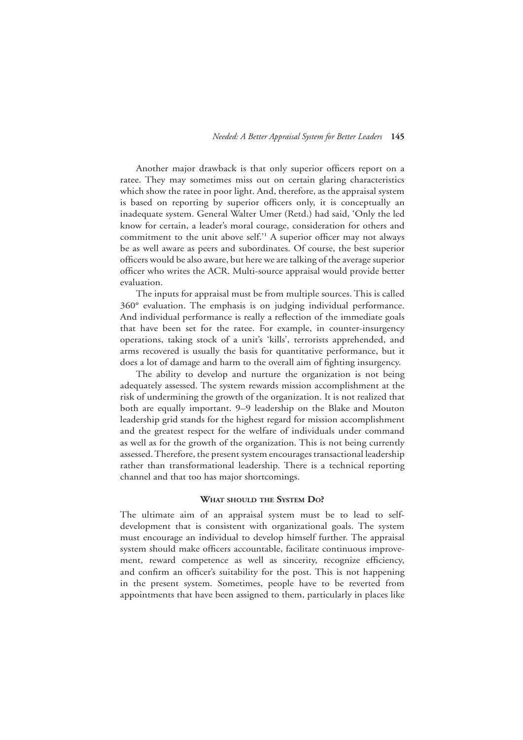Another major drawback is that only superior officers report on a ratee. They may sometimes miss out on certain glaring characteristics which show the ratee in poor light. And, therefore, as the appraisal system is based on reporting by superior officers only, it is conceptually an inadequate system. General Walter Umer (Retd.) had said, 'Only the led know for certain, a leader's moral courage, consideration for others and commitment to the unit above self.'1 A superior officer may not always be as well aware as peers and subordinates. Of course, the best superior officers would be also aware, but here we are talking of the average superior officer who writes the ACR. Multi-source appraisal would provide better evaluation.

The inputs for appraisal must be from multiple sources. This is called 360° evaluation. The emphasis is on judging individual performance. And individual performance is really a reflection of the immediate goals that have been set for the ratee. For example, in counter-insurgency operations, taking stock of a unit's 'kills', terrorists apprehended, and arms recovered is usually the basis for quantitative performance, but it does a lot of damage and harm to the overall aim of fighting insurgency.

The ability to develop and nurture the organization is not being adequately assessed. The system rewards mission accomplishment at the risk of undermining the growth of the organization. It is not realized that both are equally important. 9–9 leadership on the Blake and Mouton leadership grid stands for the highest regard for mission accomplishment and the greatest respect for the welfare of individuals under command as well as for the growth of the organization. This is not being currently assessed. Therefore, the present system encourages transactional leadership rather than transformational leadership. There is a technical reporting channel and that too has major shortcomings.

## **What should the System Do?**

The ultimate aim of an appraisal system must be to lead to selfdevelopment that is consistent with organizational goals. The system must encourage an individual to develop himself further. The appraisal system should make officers accountable, facilitate continuous improvement, reward competence as well as sincerity, recognize efficiency, and confirm an officer's suitability for the post. This is not happening in the present system. Sometimes, people have to be reverted from appointments that have been assigned to them, particularly in places like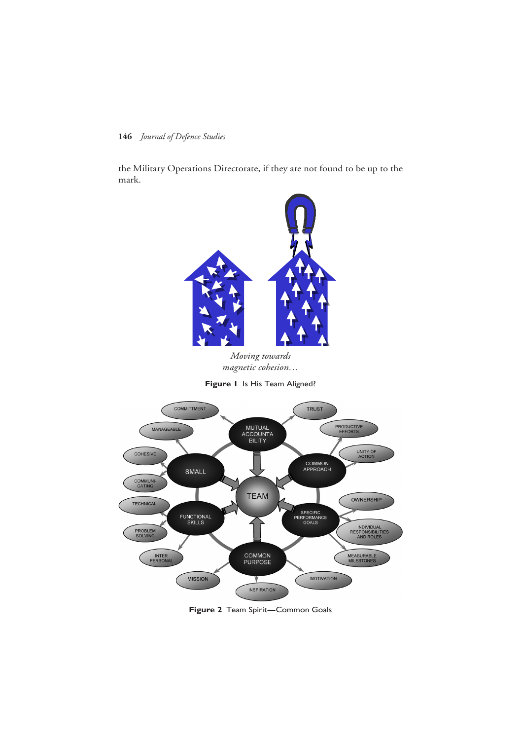the Military Operations Directorate, if they are not found to be up to the mark.



*Moving towards* Moving towards *magnetic cohesion…*

**Figure 1** Is His Team Aligned?



**Figure 2** Team Spirit—Common Goals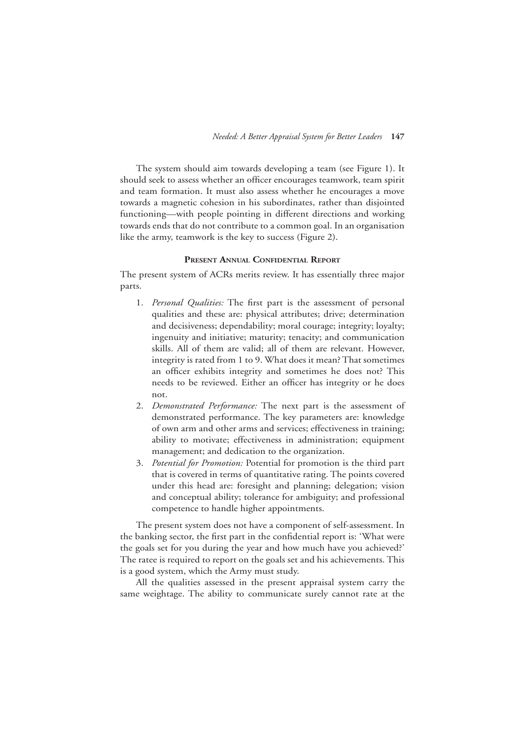The system should aim towards developing a team (see Figure 1). It should seek to assess whether an officer encourages teamwork, team spirit and team formation. It must also assess whether he encourages a move towards a magnetic cohesion in his subordinates, rather than disjointed functioning—with people pointing in different directions and working towards ends that do not contribute to a common goal. In an organisation like the army, teamwork is the key to success (Figure 2).

## **Present Annual Confidential Report**

The present system of ACRs merits review. It has essentially three major parts.

- 1. *Personal Qualities:* The first part is the assessment of personal qualities and these are: physical attributes; drive; determination and decisiveness; dependability; moral courage; integrity; loyalty; ingenuity and initiative; maturity; tenacity; and communication skills. All of them are valid; all of them are relevant. However, integrity is rated from 1 to 9. What does it mean? That sometimes an officer exhibits integrity and sometimes he does not? This needs to be reviewed. Either an officer has integrity or he does not.
- 2. *Demonstrated Performance:* The next part is the assessment of demonstrated performance. The key parameters are: knowledge of own arm and other arms and services; effectiveness in training; ability to motivate; effectiveness in administration; equipment management; and dedication to the organization.
- 3. *Potential for Promotion:* Potential for promotion is the third part that is covered in terms of quantitative rating. The points covered under this head are: foresight and planning; delegation; vision and conceptual ability; tolerance for ambiguity; and professional competence to handle higher appointments.

The present system does not have a component of self-assessment. In the banking sector, the first part in the confidential report is: 'What were the goals set for you during the year and how much have you achieved?' The ratee is required to report on the goals set and his achievements. This is a good system, which the Army must study.

All the qualities assessed in the present appraisal system carry the same weightage. The ability to communicate surely cannot rate at the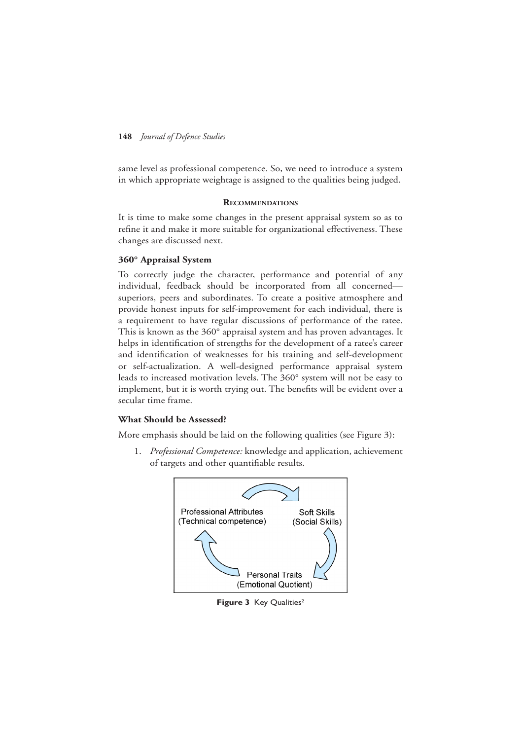same level as professional competence. So, we need to introduce a system in which appropriate weightage is assigned to the qualities being judged.

#### **Recommendations**

It is time to make some changes in the present appraisal system so as to refine it and make it more suitable for organizational effectiveness. These changes are discussed next.

## **360° Appraisal System**

To correctly judge the character, performance and potential of any individual, feedback should be incorporated from all concerned superiors, peers and subordinates. To create a positive atmosphere and provide honest inputs for self-improvement for each individual, there is a requirement to have regular discussions of performance of the ratee. This is known as the 360° appraisal system and has proven advantages. It helps in identification of strengths for the development of a ratee's career and identification of weaknesses for his training and self-development or self-actualization. A well-designed performance appraisal system leads to increased motivation levels. The 360° system will not be easy to implement, but it is worth trying out. The benefits will be evident over a secular time frame.

## **What Should be Assessed?**

More emphasis should be laid on the following qualities (see Figure 3):

1. *Professional Competence:* knowledge and application, achievement of targets and other quantifiable results.



**Figure 3** Key Qualities<sup>2</sup>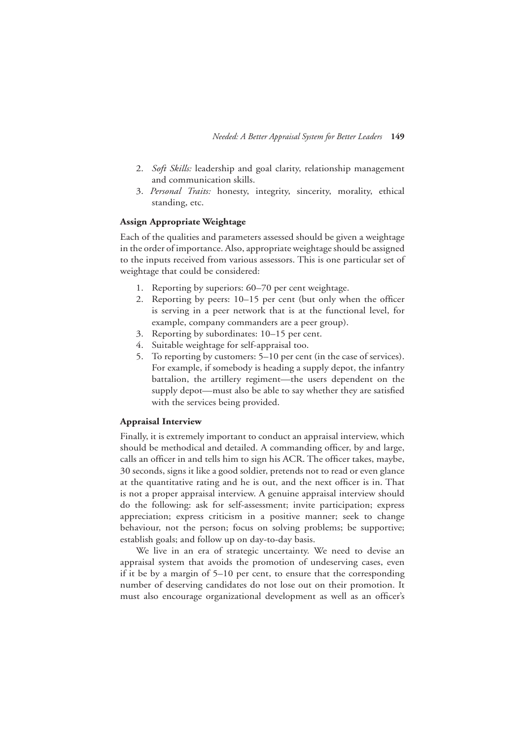- 2. *Soft Skills:* leadership and goal clarity, relationship management and communication skills.
- 3. *Personal Traits:* honesty, integrity, sincerity, morality, ethical standing, etc.

## **Assign Appropriate Weightage**

Each of the qualities and parameters assessed should be given a weightage in the order of importance. Also, appropriate weightage should be assigned to the inputs received from various assessors. This is one particular set of weightage that could be considered:

- 1. Reporting by superiors: 60–70 per cent weightage.
- 2. Reporting by peers: 10–15 per cent (but only when the officer is serving in a peer network that is at the functional level, for example, company commanders are a peer group).
- 3. Reporting by subordinates: 10–15 per cent.
- 4. Suitable weightage for self-appraisal too.
- 5. To reporting by customers: 5–10 per cent (in the case of services). For example, if somebody is heading a supply depot, the infantry battalion, the artillery regiment—the users dependent on the supply depot—must also be able to say whether they are satisfied with the services being provided.

## **Appraisal Interview**

Finally, it is extremely important to conduct an appraisal interview, which should be methodical and detailed. A commanding officer, by and large, calls an officer in and tells him to sign his ACR. The officer takes, maybe, 30 seconds, signs it like a good soldier, pretends not to read or even glance at the quantitative rating and he is out, and the next officer is in. That is not a proper appraisal interview. A genuine appraisal interview should do the following: ask for self-assessment; invite participation; express appreciation; express criticism in a positive manner; seek to change behaviour, not the person; focus on solving problems; be supportive; establish goals; and follow up on day-to-day basis.

We live in an era of strategic uncertainty. We need to devise an appraisal system that avoids the promotion of undeserving cases, even if it be by a margin of 5–10 per cent, to ensure that the corresponding number of deserving candidates do not lose out on their promotion. It must also encourage organizational development as well as an officer's